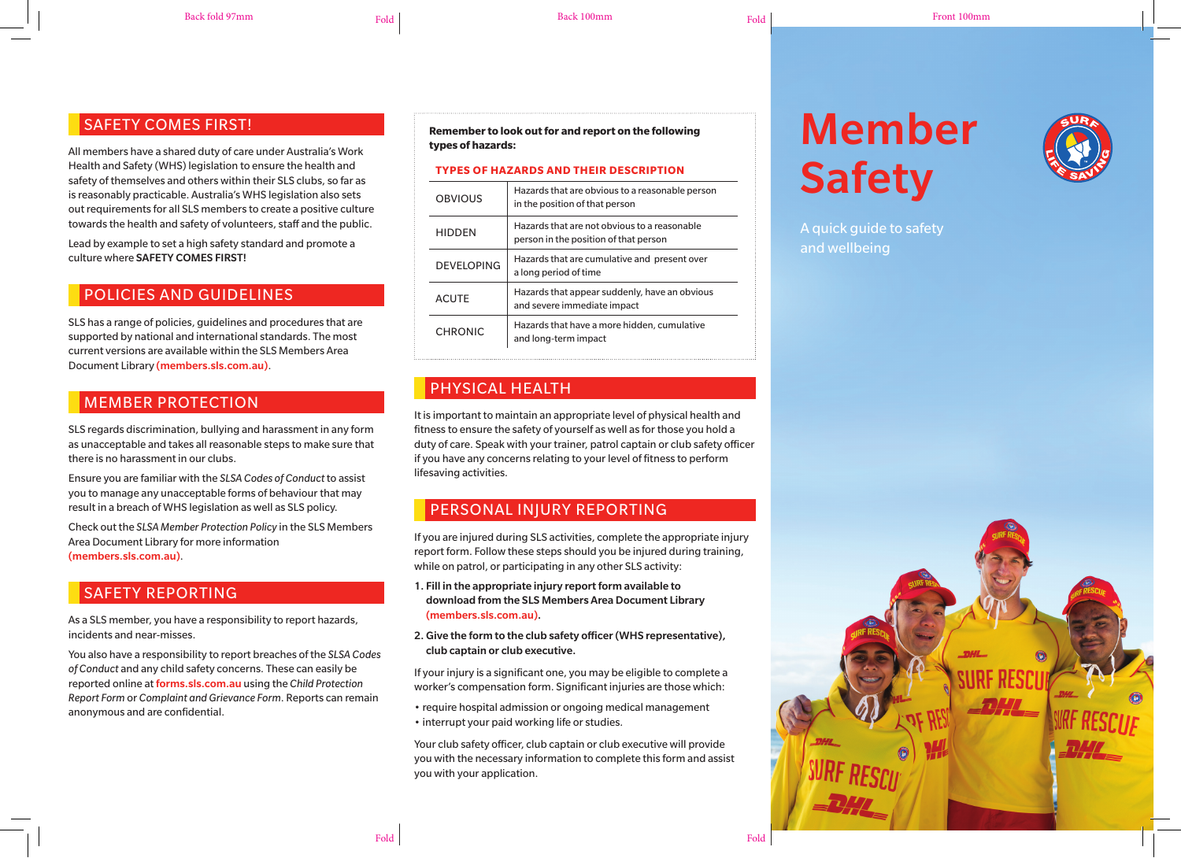#### Back fold 97mm Form Fold Fold Fold Back 100mm Fold Fold Front 100mm Fold Fold Front 100mm

#### SAFETY COMES FIRST!

All members have a shared duty of care under Australia's Work Health and Safety (WHS) legislation to ensure the health and safety of themselves and others within their SLS clubs, so far as is reasonably practicable. Australia's WHS legislation also sets out requirements for all SLS members to create a positive culture towards the health and safety of volunteers, staff and the public.

Lead by example to set a high safety standard and promote a culture where SAFETY COMES FIRST!

#### POLICIES AND GUIDELINES

SLS has a range of policies, guidelines and procedures that are supported by national and international standards. The most current versions are available within the SLS Members Area Document Library (members.sls.com.au).

# MEMBER PROTECTION

SLS regards discrimination, bullying and harassment in any form as unacceptable and takes all reasonable steps to make sure that there is no harassment in our clubs.

Ensure you are familiar with the *SLSA Codes of Conduct* to assist you to manage any unacceptable forms of behaviour that may result in a breach of WHS legislation as well as SLS policy.

Check out the *SLSA Member Protection Policy* in the SLS Members Area Document Library for more information (members.sls.com.au).

# SAFETY REPORTING

As a SLS member, you have a responsibility to report hazards, incidents and near-misses.

You also have a responsibility to report breaches of the *SLSA Codes of Conduct* and any child safety concerns. These can easily be reported online at forms.sls.com.au using the *Child Protection Report Form* or *Complaint and Grievance Form*. Reports can remain anonymous and are confidential.

**Remember to look out for and report on the following types of hazards:**

#### **TYPES OF HAZARDS AND THEIR DESCRIPTION**

| OBVIOUS           | Hazards that are obvious to a reasonable person<br>in the position of that person     |  |
|-------------------|---------------------------------------------------------------------------------------|--|
| <b>HIDDEN</b>     | Hazards that are not obvious to a reasonable<br>person in the position of that person |  |
| <b>DEVELOPING</b> | Hazards that are cumulative and present over<br>a long period of time                 |  |
| <b>ACUTE</b>      | Hazards that appear suddenly, have an obvious<br>and severe immediate impact          |  |
| <b>CHRONIC</b>    | Hazards that have a more hidden, cumulative<br>and long-term impact                   |  |

# PHYSICAL HEALTH

It is important to maintain an appropriate level of physical health and fitness to ensure the safety of yourself as well as for those you hold a duty of care. Speak with your trainer, patrol captain or club safety officer if you have any concerns relating to your level of fitness to perform lifesaving activities.

# PERSONAL INJURY REPORTING

If you are injured during SLS activities, complete the appropriate injury report form. Follow these steps should you be injured during training, while on patrol, or participating in any other SLS activity:

- 1. Fill in the appropriate injury report form available to download from the SLS Members Area Document Library (members.sls.com.au).
- 2. Give the form to the club safety officer (WHS representative), club captain or club executive.

If your injury is a significant one, you may be eligible to complete a worker's compensation form. Significant injuries are those which:

- require hospital admission or ongoing medical management
- interrupt your paid working life or studies.

Your club safety officer, club captain or club executive will provide you with the necessary information to complete this form and assist you with your application.

Fold Fold

# Member Safety



A quick quide to safety and wellbeing